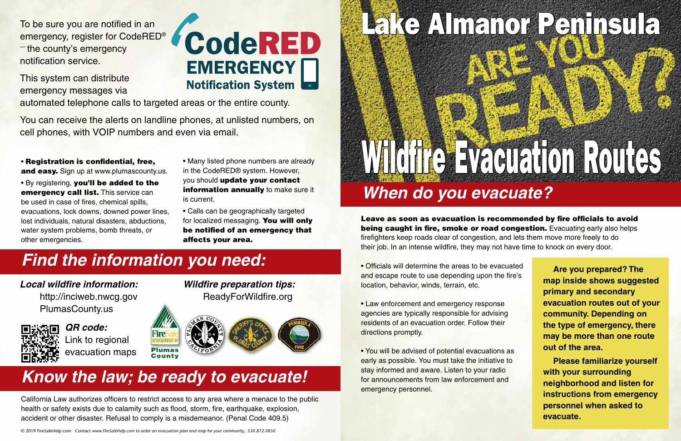## Lake Almanor Peninsula

# *When do you evacuate?* Wildfire Evacuation Routes



Leave as soon as evacuation is recommended by fire officials to avoid being caught in fire, smoke or road congestion. Evacuating early also helps firefighters keep roads clear of congestion, and lets them move more freely to do their job. In an intense wildfire, they may not have time to knock on every door.

• Registration is confidential, free, and easy. Sign up at www.plumascounty.us.

- Officials will determine the areas to be evacuated and escape route to use depending upon the fire's location, behavior, winds, terrain, etc.
- Law enforcement and emergency response agencies are typically responsible for advising residents of an evacuation order. Follow their directions promptly.
- You will be advised of potential evacuations as early as possible. You must take the initiative to stay informed and aware. Listen to your radio for announcements from law enforcement and emergency personnel.

**Are you prepared? The map inside shows suggested primary and secondary evacuation routes out of your community. Depending on the type of emergency, there may be more than one route out of the area.**

**Please familiarize yourself with your surrounding neighborhood and listen for instructions from emergency personnel when asked to evacuate.**

• By registering, you'll be added to the emergency call list. This service can be used in case of fires, chemical spills, evacuations, lock downs, downed power lines, lost individuals, natural disasters, abductions, water system problems, bomb threats, or other emergencies.

California Law authorizes officers to restrict access to any area where a menace to the public health or safety exists due to calamity such as flood, storm, fire, earthquake, explosion, accident or other disaster. Refusal to comply is a misdemeanor. (Penal Code 409.5)

#### *Know the law; be ready to evacuate!*

### *Find the information you need:*

To be sure you are notified in an emergency, register for CodeRED®  $-$  the county's emergency notification service.

This system can distribute emergency messages via

## CodeRED **EMERGENCY Notification System**

automated telephone calls to targeted areas or the entire county.

You can receive the alerts on landline phones, at unlisted numbers, on cell phones, with VOIP numbers and even via email.

- Many listed phone numbers are already in the CodeRED® system. However, you should update your contact information annually to make sure it is current.
- Calls can be geographically targeted for localized messaging. You will only be notified of an emergency that affects your area.

© 2019 FireSafeHelp.com Contact *www.FireSafeHelp.com to order an evacuation plan and map for your community,. 530.872.0850*

#### *Local wildfire information:*

http://inciweb.nwcg.gov PlumasCounty.us



*Wildfire preparation tips:* ReadyForWildfire.org

*QR code:* Link to regional evacuation maps